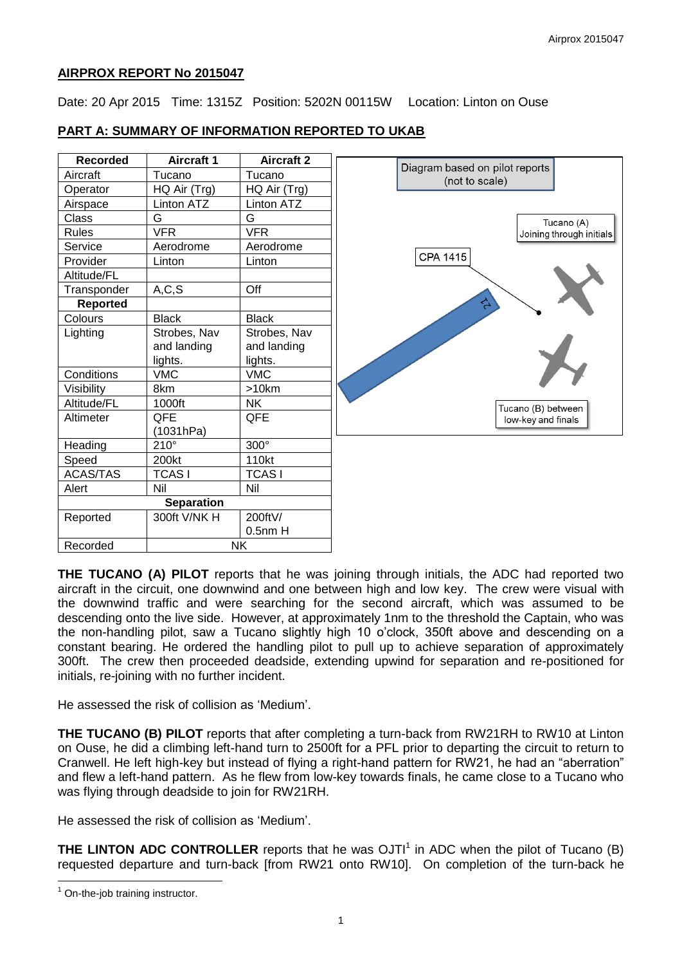### **AIRPROX REPORT No 2015047**

Date: 20 Apr 2015 Time: 1315Z Position: 5202N 00115W Location: Linton on Ouse

# **PART A: SUMMARY OF INFORMATION REPORTED TO UKAB**

| <b>Recorded</b>   | <b>Aircraft 1</b> | <b>Aircraft 2</b> | Diagram based on pilot reports |
|-------------------|-------------------|-------------------|--------------------------------|
| Aircraft          | Tucano            | Tucano            | (not to scale)                 |
| Operator          | HQ Air (Trg)      | HQ Air (Trg)      |                                |
| Airspace          | Linton ATZ        | Linton ATZ        |                                |
| Class             | G                 | G                 | Tucano (A)                     |
| <b>Rules</b>      | <b>VFR</b>        | <b>VFR</b>        | Joining through initials       |
| Service           | Aerodrome         | Aerodrome         |                                |
| Provider          | Linton            | Linton            | CPA 1415                       |
| Altitude/FL       |                   |                   |                                |
| Transponder       | A, C, S           | Off               |                                |
| <b>Reported</b>   |                   |                   | <b>SC</b>                      |
| Colours           | <b>Black</b>      | <b>Black</b>      |                                |
| Lighting          | Strobes, Nav      | Strobes, Nav      |                                |
|                   | and landing       | and landing       |                                |
|                   | lights.           | lights.           |                                |
| Conditions        | <b>VMC</b>        | <b>VMC</b>        |                                |
| Visibility        | 8km               | $>10$ km          |                                |
| Altitude/FL       | 1000ft            | <b>NK</b>         | Tucano (B) between             |
| Altimeter         | QFE               | QFE               | low-key and finals             |
|                   | (1031hPa)         |                   |                                |
| Heading           | $210^\circ$       | $300^\circ$       |                                |
| Speed             | 200kt             | 110kt             |                                |
| <b>ACAS/TAS</b>   | <b>TCASI</b>      | <b>TCASI</b>      |                                |
| Alert             | Nil               | Nil               |                                |
| <b>Separation</b> |                   |                   |                                |
| Reported          | 300ft V/NK H      | 200ftV/           |                                |
|                   |                   | $0.5$ nm $H$      |                                |
| Recorded          | NΚ                |                   |                                |

**THE TUCANO (A) PILOT** reports that he was joining through initials, the ADC had reported two aircraft in the circuit, one downwind and one between high and low key. The crew were visual with the downwind traffic and were searching for the second aircraft, which was assumed to be descending onto the live side. However, at approximately 1nm to the threshold the Captain, who was the non-handling pilot, saw a Tucano slightly high 10 o'clock, 350ft above and descending on a constant bearing. He ordered the handling pilot to pull up to achieve separation of approximately 300ft. The crew then proceeded deadside, extending upwind for separation and re-positioned for initials, re-joining with no further incident.

He assessed the risk of collision as 'Medium'.

**THE TUCANO (B) PILOT** reports that after completing a turn-back from RW21RH to RW10 at Linton on Ouse, he did a climbing left-hand turn to 2500ft for a PFL prior to departing the circuit to return to Cranwell. He left high-key but instead of flying a right-hand pattern for RW21, he had an "aberration" and flew a left-hand pattern. As he flew from low-key towards finals, he came close to a Tucano who was flying through deadside to join for RW21RH.

He assessed the risk of collision as 'Medium'.

**THE LINTON ADC CONTROLLER** reports that he was OJTI<sup>1</sup> in ADC when the pilot of Tucano (B) requested departure and turn-back [from RW21 onto RW10]. On completion of the turn-back he

 $\overline{a}$ 

 $1$  On-the-job training instructor.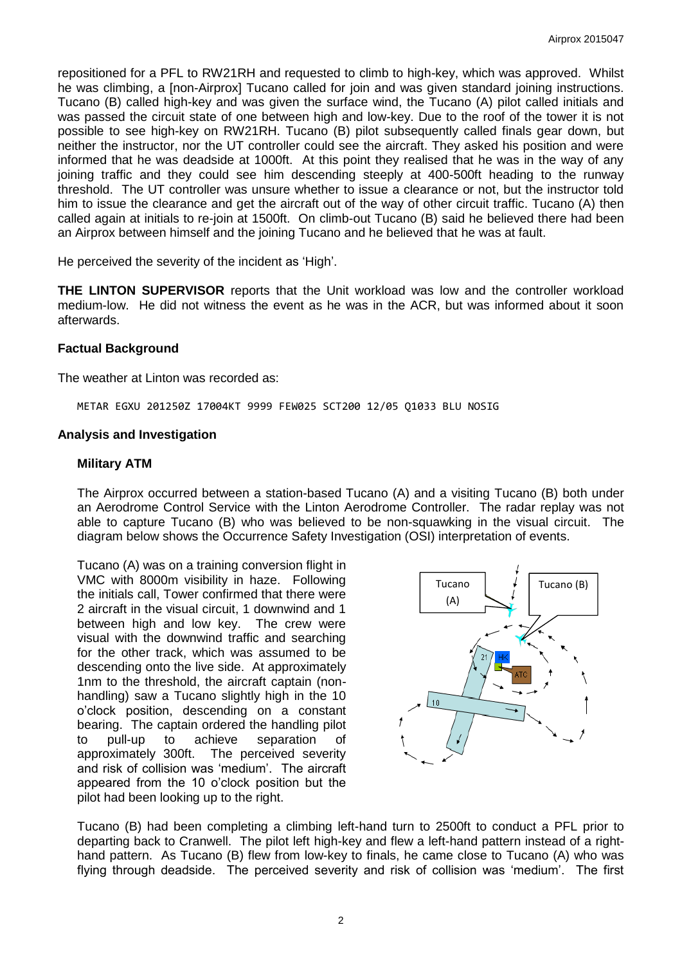repositioned for a PFL to RW21RH and requested to climb to high-key, which was approved. Whilst he was climbing, a [non-Airprox] Tucano called for join and was given standard joining instructions. Tucano (B) called high-key and was given the surface wind, the Tucano (A) pilot called initials and was passed the circuit state of one between high and low-key. Due to the roof of the tower it is not possible to see high-key on RW21RH. Tucano (B) pilot subsequently called finals gear down, but neither the instructor, nor the UT controller could see the aircraft. They asked his position and were informed that he was deadside at 1000ft. At this point they realised that he was in the way of any joining traffic and they could see him descending steeply at 400-500ft heading to the runway threshold. The UT controller was unsure whether to issue a clearance or not, but the instructor told him to issue the clearance and get the aircraft out of the way of other circuit traffic. Tucano (A) then called again at initials to re-join at 1500ft. On climb-out Tucano (B) said he believed there had been an Airprox between himself and the joining Tucano and he believed that he was at fault.

He perceived the severity of the incident as 'High'.

**THE LINTON SUPERVISOR** reports that the Unit workload was low and the controller workload medium-low. He did not witness the event as he was in the ACR, but was informed about it soon afterwards.

#### **Factual Background**

The weather at Linton was recorded as:

METAR EGXU 201250Z 17004KT 9999 FEW025 SCT200 12/05 Q1033 BLU NOSIG

#### **Analysis and Investigation**

#### **Military ATM**

The Airprox occurred between a station-based Tucano (A) and a visiting Tucano (B) both under an Aerodrome Control Service with the Linton Aerodrome Controller. The radar replay was not able to capture Tucano (B) who was believed to be non-squawking in the visual circuit. The diagram below shows the Occurrence Safety Investigation (OSI) interpretation of events.

Tucano (A) was on a training conversion flight in VMC with 8000m visibility in haze. Following the initials call, Tower confirmed that there were 2 aircraft in the visual circuit, 1 downwind and 1 between high and low key. The crew were visual with the downwind traffic and searching for the other track, which was assumed to be descending onto the live side. At approximately 1nm to the threshold, the aircraft captain (nonhandling) saw a Tucano slightly high in the 10 o'clock position, descending on a constant bearing. The captain ordered the handling pilot to pull-up to achieve separation of approximately 300ft. The perceived severity and risk of collision was 'medium'. The aircraft appeared from the 10 o'clock position but the pilot had been looking up to the right.



Tucano (B) had been completing a climbing left-hand turn to 2500ft to conduct a PFL prior to departing back to Cranwell. The pilot left high-key and flew a left-hand pattern instead of a righthand pattern. As Tucano (B) flew from low-key to finals, he came close to Tucano (A) who was flying through deadside. The perceived severity and risk of collision was 'medium'. The first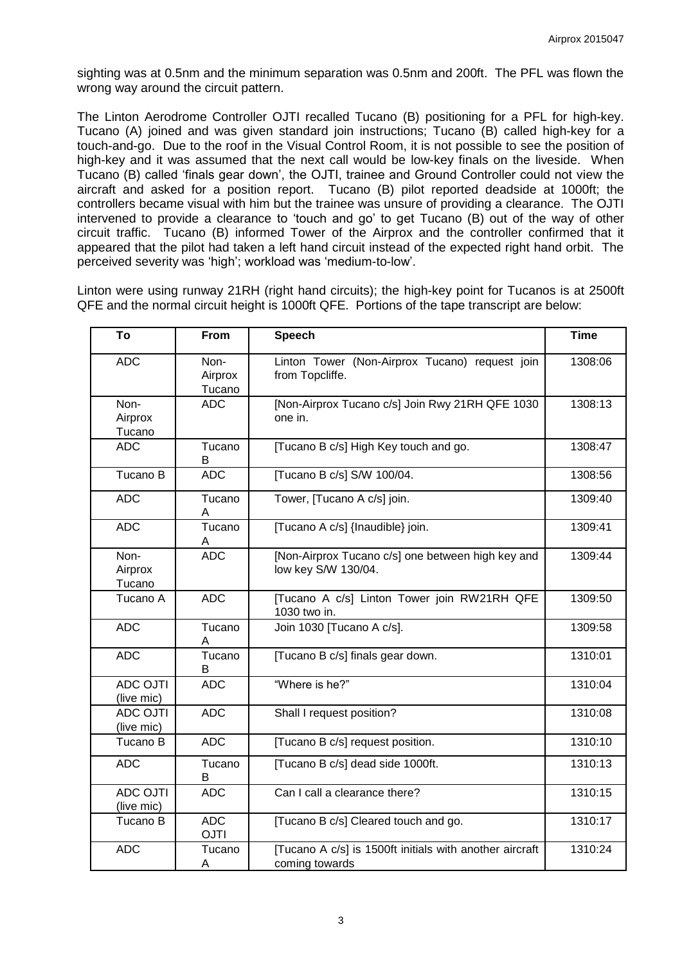sighting was at 0.5nm and the minimum separation was 0.5nm and 200ft. The PFL was flown the wrong way around the circuit pattern.

The Linton Aerodrome Controller OJTI recalled Tucano (B) positioning for a PFL for high-key. Tucano (A) joined and was given standard join instructions; Tucano (B) called high-key for a touch-and-go. Due to the roof in the Visual Control Room, it is not possible to see the position of high-key and it was assumed that the next call would be low-key finals on the liveside. When Tucano (B) called 'finals gear down', the OJTI, trainee and Ground Controller could not view the aircraft and asked for a position report. Tucano (B) pilot reported deadside at 1000ft; the controllers became visual with him but the trainee was unsure of providing a clearance. The OJTI intervened to provide a clearance to 'touch and go' to get Tucano (B) out of the way of other circuit traffic. Tucano (B) informed Tower of the Airprox and the controller confirmed that it appeared that the pilot had taken a left hand circuit instead of the expected right hand orbit. The perceived severity was 'high'; workload was 'medium-to-low'.

Linton were using runway 21RH (right hand circuits); the high-key point for Tucanos is at 2500ft QFE and the normal circuit height is 1000ft QFE. Portions of the tape transcript are below:

| To                            | From                      | <b>Speech</b>                                                             | <b>Time</b> |
|-------------------------------|---------------------------|---------------------------------------------------------------------------|-------------|
| <b>ADC</b>                    | Non-<br>Airprox<br>Tucano | Linton Tower (Non-Airprox Tucano) request join<br>from Topcliffe.         | 1308:06     |
| Non-<br>Airprox<br>Tucano     | <b>ADC</b>                | [Non-Airprox Tucano c/s] Join Rwy 21RH QFE 1030<br>one in.                | 1308:13     |
| <b>ADC</b>                    | Tucano<br>B               | [Tucano B c/s] High Key touch and go.                                     | 1308:47     |
| Tucano B                      | <b>ADC</b>                | [Tucano B c/s] S/W 100/04.                                                | 1308:56     |
| <b>ADC</b>                    | Tucano<br>A               | Tower, [Tucano A c/s] join.                                               | 1309:40     |
| <b>ADC</b>                    | Tucano<br>Α               | [Tucano A c/s] {lnaudible} join.                                          | 1309:41     |
| Non-<br>Airprox<br>Tucano     | <b>ADC</b>                | [Non-Airprox Tucano c/s] one between high key and<br>low key S/W 130/04.  | 1309:44     |
| Tucano A                      | <b>ADC</b>                | [Tucano A c/s] Linton Tower join RW21RH QFE<br>1030 two in.               | 1309:50     |
| <b>ADC</b>                    | Tucano<br>A               | Join 1030 [Tucano A c/s].                                                 | 1309:58     |
| <b>ADC</b>                    | Tucano<br>В               | [Tucano B c/s] finals gear down.                                          | 1310:01     |
| <b>ADC OJTI</b><br>(live mic) | <b>ADC</b>                | "Where is he?"                                                            | 1310:04     |
| <b>ADC OJTI</b><br>(live mic) | <b>ADC</b>                | Shall I request position?                                                 | 1310:08     |
| Tucano B                      | <b>ADC</b>                | [Tucano B c/s] request position.                                          | 1310:10     |
| <b>ADC</b>                    | Tucano<br>В               | [Tucano B c/s] dead side 1000ft.                                          | 1310:13     |
| <b>ADC OJTI</b><br>(live mic) | <b>ADC</b>                | Can I call a clearance there?                                             | 1310:15     |
| Tucano B                      | <b>ADC</b><br><b>OJTI</b> | [Tucano B c/s] Cleared touch and go.                                      | 1310:17     |
| <b>ADC</b>                    | Tucano<br>A               | [Tucano A c/s] is 1500ft initials with another aircraft<br>coming towards | 1310:24     |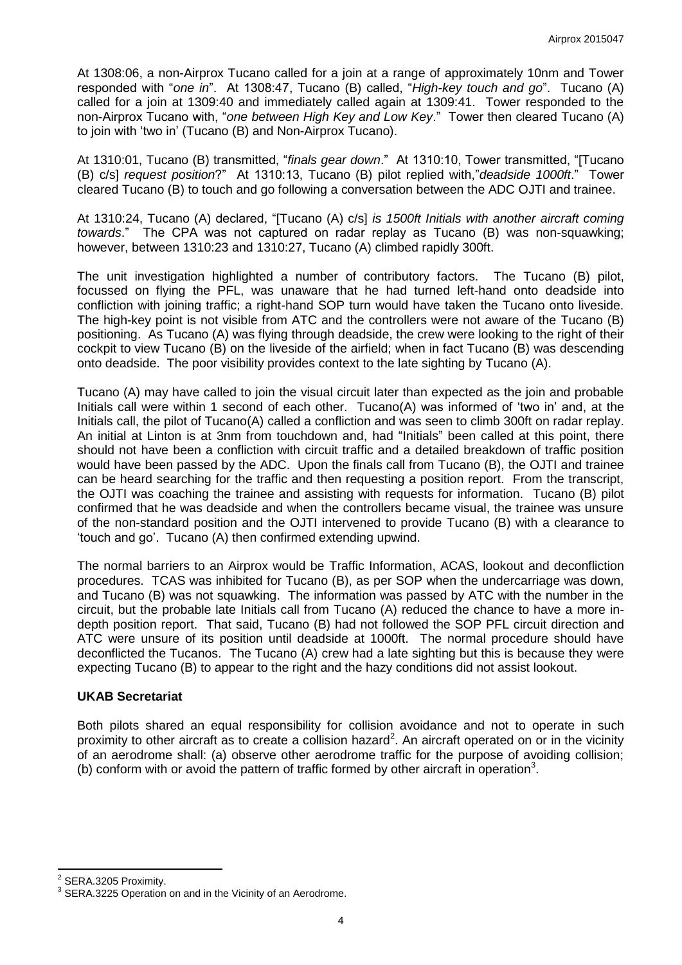At 1308:06, a non-Airprox Tucano called for a join at a range of approximately 10nm and Tower responded with "*one in*". At 1308:47, Tucano (B) called, "*High-key touch and go*". Tucano (A) called for a join at 1309:40 and immediately called again at 1309:41. Tower responded to the non-Airprox Tucano with, "*one between High Key and Low Key*." Tower then cleared Tucano (A) to join with 'two in' (Tucano (B) and Non-Airprox Tucano).

At 1310:01, Tucano (B) transmitted, "*finals gear down*." At 1310:10, Tower transmitted, "[Tucano (B) c/s] *request position*?" At 1310:13, Tucano (B) pilot replied with,"*deadside 1000ft*." Tower cleared Tucano (B) to touch and go following a conversation between the ADC OJTI and trainee.

At 1310:24, Tucano (A) declared, "[Tucano (A) c/s] *is 1500ft Initials with another aircraft coming towards*." The CPA was not captured on radar replay as Tucano (B) was non-squawking; however, between 1310:23 and 1310:27, Tucano (A) climbed rapidly 300ft.

The unit investigation highlighted a number of contributory factors. The Tucano (B) pilot, focussed on flying the PFL, was unaware that he had turned left-hand onto deadside into confliction with joining traffic; a right-hand SOP turn would have taken the Tucano onto liveside. The high-key point is not visible from ATC and the controllers were not aware of the Tucano (B) positioning. As Tucano (A) was flying through deadside, the crew were looking to the right of their cockpit to view Tucano (B) on the liveside of the airfield; when in fact Tucano (B) was descending onto deadside. The poor visibility provides context to the late sighting by Tucano (A).

Tucano (A) may have called to join the visual circuit later than expected as the join and probable Initials call were within 1 second of each other. Tucano(A) was informed of 'two in' and, at the Initials call, the pilot of Tucano(A) called a confliction and was seen to climb 300ft on radar replay. An initial at Linton is at 3nm from touchdown and, had "Initials" been called at this point, there should not have been a confliction with circuit traffic and a detailed breakdown of traffic position would have been passed by the ADC. Upon the finals call from Tucano (B), the OJTI and trainee can be heard searching for the traffic and then requesting a position report. From the transcript, the OJTI was coaching the trainee and assisting with requests for information. Tucano (B) pilot confirmed that he was deadside and when the controllers became visual, the trainee was unsure of the non-standard position and the OJTI intervened to provide Tucano (B) with a clearance to 'touch and go'. Tucano (A) then confirmed extending upwind.

The normal barriers to an Airprox would be Traffic Information, ACAS, lookout and deconfliction procedures. TCAS was inhibited for Tucano (B), as per SOP when the undercarriage was down, and Tucano (B) was not squawking. The information was passed by ATC with the number in the circuit, but the probable late Initials call from Tucano (A) reduced the chance to have a more indepth position report. That said, Tucano (B) had not followed the SOP PFL circuit direction and ATC were unsure of its position until deadside at 1000ft. The normal procedure should have deconflicted the Tucanos. The Tucano (A) crew had a late sighting but this is because they were expecting Tucano (B) to appear to the right and the hazy conditions did not assist lookout.

#### **UKAB Secretariat**

Both pilots shared an equal responsibility for collision avoidance and not to operate in such proximity to other aircraft as to create a collision hazard<sup>2</sup>. An aircraft operated on or in the vicinity of an aerodrome shall: (a) observe other aerodrome traffic for the purpose of avoiding collision; (b) conform with or avoid the pattern of traffic formed by other aircraft in operation<sup>3</sup>.

 $\overline{\phantom{a}}$ 

 $2^{2}$  SERA.3205 Proximity.

<sup>3</sup> SERA.3225 Operation on and in the Vicinity of an Aerodrome.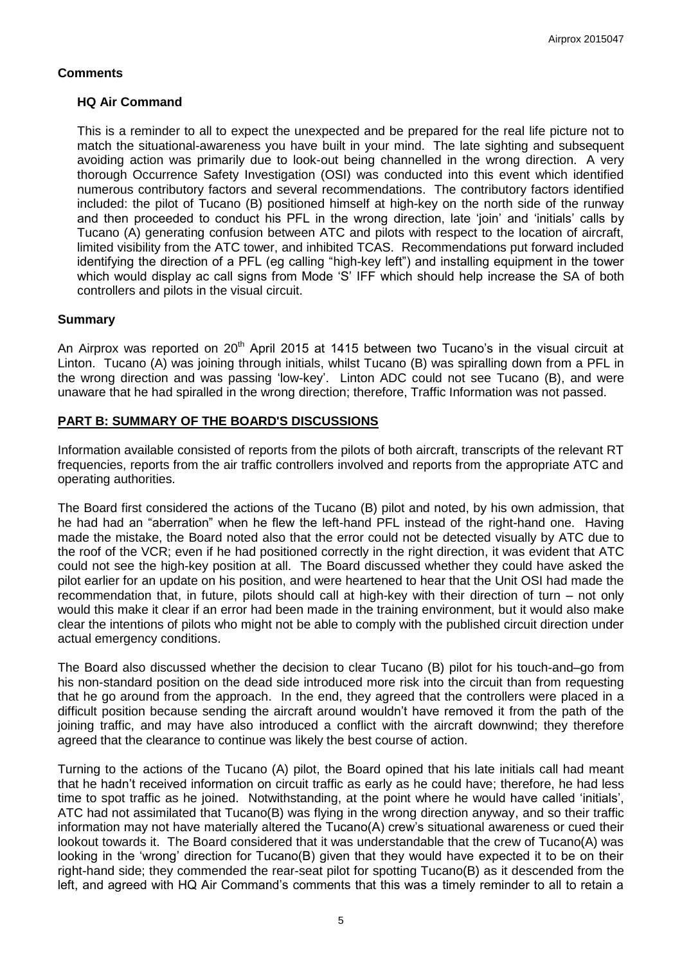## **Comments**

## **HQ Air Command**

This is a reminder to all to expect the unexpected and be prepared for the real life picture not to match the situational-awareness you have built in your mind. The late sighting and subsequent avoiding action was primarily due to look-out being channelled in the wrong direction. A very thorough Occurrence Safety Investigation (OSI) was conducted into this event which identified numerous contributory factors and several recommendations. The contributory factors identified included: the pilot of Tucano (B) positioned himself at high-key on the north side of the runway and then proceeded to conduct his PFL in the wrong direction, late 'join' and 'initials' calls by Tucano (A) generating confusion between ATC and pilots with respect to the location of aircraft, limited visibility from the ATC tower, and inhibited TCAS. Recommendations put forward included identifying the direction of a PFL (eg calling "high-key left") and installing equipment in the tower which would display ac call signs from Mode 'S' IFF which should help increase the SA of both controllers and pilots in the visual circuit.

### **Summary**

An Airprox was reported on 20<sup>th</sup> April 2015 at 1415 between two Tucano's in the visual circuit at Linton. Tucano (A) was joining through initials, whilst Tucano (B) was spiralling down from a PFL in the wrong direction and was passing 'low-key'. Linton ADC could not see Tucano (B), and were unaware that he had spiralled in the wrong direction; therefore, Traffic Information was not passed.

## **PART B: SUMMARY OF THE BOARD'S DISCUSSIONS**

Information available consisted of reports from the pilots of both aircraft, transcripts of the relevant RT frequencies, reports from the air traffic controllers involved and reports from the appropriate ATC and operating authorities.

The Board first considered the actions of the Tucano (B) pilot and noted, by his own admission, that he had had an "aberration" when he flew the left-hand PFL instead of the right-hand one. Having made the mistake, the Board noted also that the error could not be detected visually by ATC due to the roof of the VCR; even if he had positioned correctly in the right direction, it was evident that ATC could not see the high-key position at all. The Board discussed whether they could have asked the pilot earlier for an update on his position, and were heartened to hear that the Unit OSI had made the recommendation that, in future, pilots should call at high-key with their direction of turn – not only would this make it clear if an error had been made in the training environment, but it would also make clear the intentions of pilots who might not be able to comply with the published circuit direction under actual emergency conditions.

The Board also discussed whether the decision to clear Tucano (B) pilot for his touch-and–go from his non-standard position on the dead side introduced more risk into the circuit than from requesting that he go around from the approach. In the end, they agreed that the controllers were placed in a difficult position because sending the aircraft around wouldn't have removed it from the path of the joining traffic, and may have also introduced a conflict with the aircraft downwind; they therefore agreed that the clearance to continue was likely the best course of action.

Turning to the actions of the Tucano (A) pilot, the Board opined that his late initials call had meant that he hadn't received information on circuit traffic as early as he could have; therefore, he had less time to spot traffic as he joined. Notwithstanding, at the point where he would have called 'initials', ATC had not assimilated that Tucano(B) was flying in the wrong direction anyway, and so their traffic information may not have materially altered the Tucano(A) crew's situational awareness or cued their lookout towards it. The Board considered that it was understandable that the crew of Tucano(A) was looking in the 'wrong' direction for Tucano(B) given that they would have expected it to be on their right-hand side; they commended the rear-seat pilot for spotting Tucano(B) as it descended from the left, and agreed with HQ Air Command's comments that this was a timely reminder to all to retain a